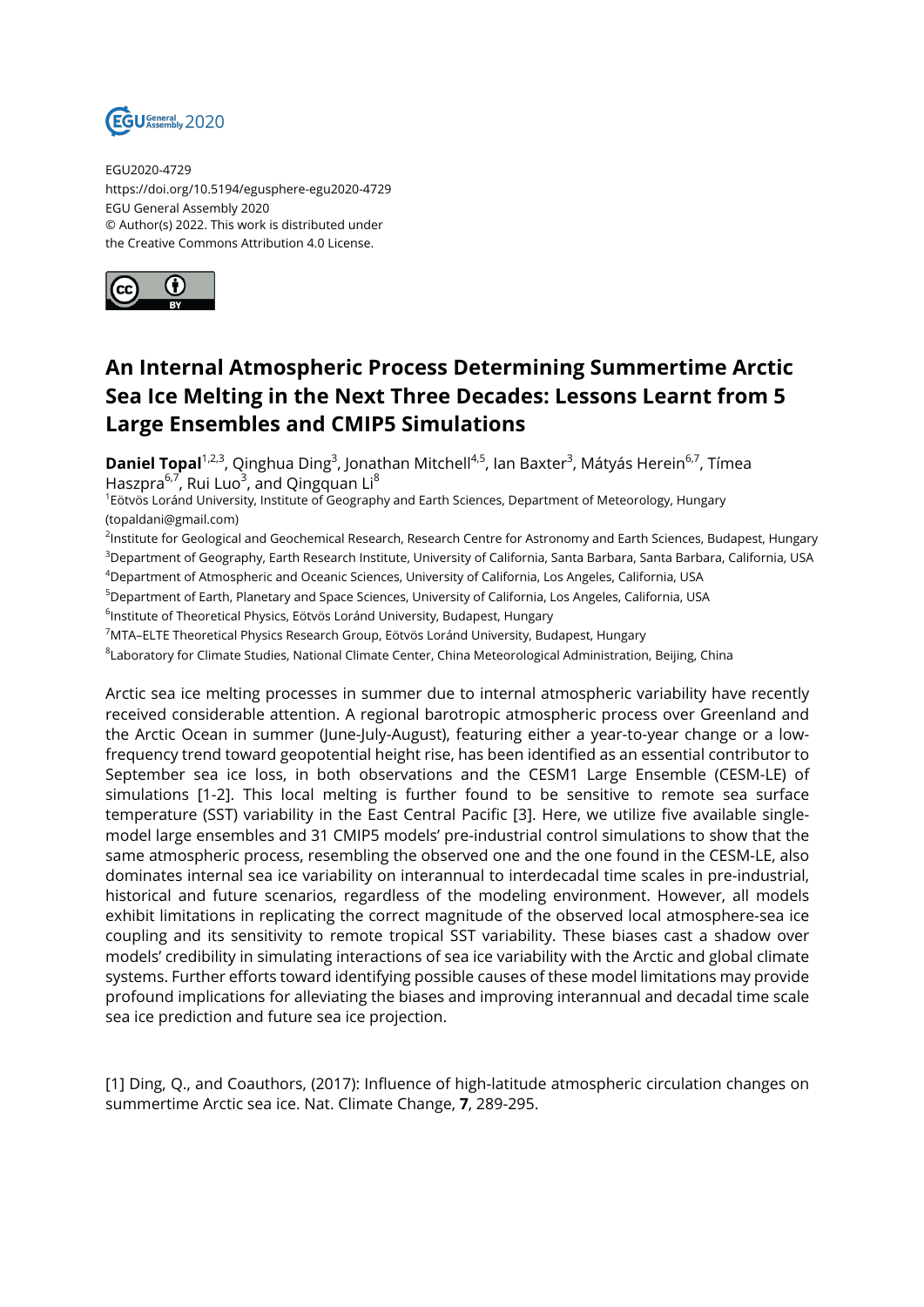

EGU2020-4729 https://doi.org/10.5194/egusphere-egu2020-4729 EGU General Assembly 2020 © Author(s) 2022. This work is distributed under the Creative Commons Attribution 4.0 License.



## **An Internal Atmospheric Process Determining Summertime Arctic Sea Ice Melting in the Next Three Decades: Lessons Learnt from 5 Large Ensembles and CMIP5 Simulations**

**Daniel Topal**<sup>1,2,3</sup>, Qinghua Ding<sup>3</sup>, Jonathan Mitchell<sup>4,5</sup>, Ian Baxter<sup>3</sup>, Mátyás Herein<sup>6,7</sup>, Tímea Haszpra<sup>6,7</sup>, Rui Luo<sup>3</sup>, and Qingquan Li<sup>8</sup>

1 Eötvös Loránd University, Institute of Geography and Earth Sciences, Department of Meteorology, Hungary (topaldani@gmail.com)

<sup>2</sup>lnstitute for Geological and Geochemical Research, Research Centre for Astronomy and Earth Sciences, Budapest, Hungary <sup>3</sup>Department of Geography, Earth Research Institute, University of California, Santa Barbara, Santa Barbara, California, USA

<sup>4</sup>Department of Atmospheric and Oceanic Sciences, University of California, Los Angeles, California, USA

<sup>5</sup>Department of Earth, Planetary and Space Sciences, University of California, Los Angeles, California, USA

 $^6$ Institute of Theoretical Physics, Eötvös Loránd University, Budapest, Hungary

<sup>7</sup>MTA–ELTE Theoretical Physics Research Group, Eötvös Loránd University, Budapest, Hungary

 $^8$ Laboratory for Climate Studies, National Climate Center, China Meteorological Administration, Beijing, China

Arctic sea ice melting processes in summer due to internal atmospheric variability have recently received considerable attention. A regional barotropic atmospheric process over Greenland and the Arctic Ocean in summer (June-July-August), featuring either a year-to-year change or a lowfrequency trend toward geopotential height rise, has been identified as an essential contributor to September sea ice loss, in both observations and the CESM1 Large Ensemble (CESM-LE) of simulations [1-2]. This local melting is further found to be sensitive to remote sea surface temperature (SST) variability in the East Central Pacific [3]. Here, we utilize five available singlemodel large ensembles and 31 CMIP5 models' pre-industrial control simulations to show that the same atmospheric process, resembling the observed one and the one found in the CESM-LE, also dominates internal sea ice variability on interannual to interdecadal time scales in pre-industrial, historical and future scenarios, regardless of the modeling environment. However, all models exhibit limitations in replicating the correct magnitude of the observed local atmosphere-sea ice coupling and its sensitivity to remote tropical SST variability. These biases cast a shadow over models' credibility in simulating interactions of sea ice variability with the Arctic and global climate systems. Further efforts toward identifying possible causes of these model limitations may provide profound implications for alleviating the biases and improving interannual and decadal time scale sea ice prediction and future sea ice projection.

[1] Ding, Q., and Coauthors, (2017): Influence of high-latitude atmospheric circulation changes on summertime Arctic sea ice. Nat. Climate Change, **7**, 289-295.